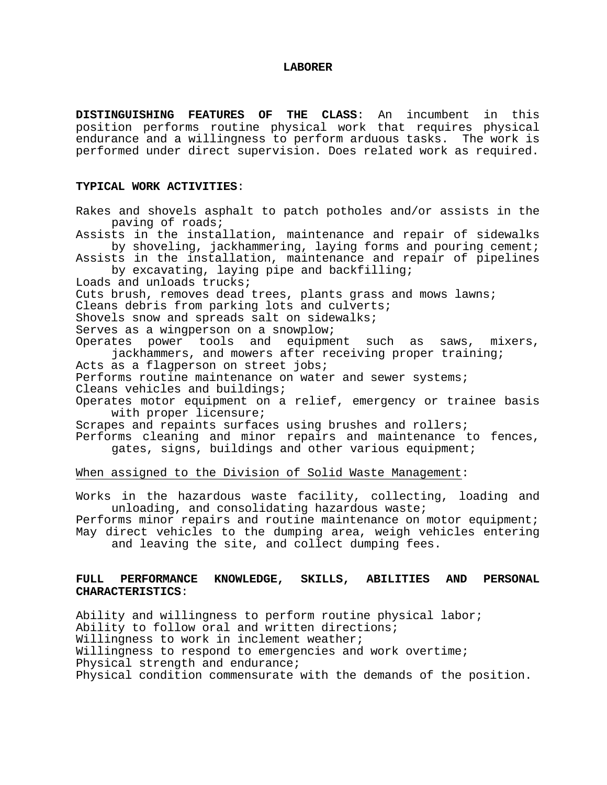#### **LABORER**

**DISTINGUISHING FEATURES OF THE CLASS**: An incumbent in this position performs routine physical work that requires physical endurance and a willingness to perform arduous tasks. The work is performed under direct supervision. Does related work as required.

#### **TYPICAL WORK ACTIVITIES**:

Rakes and shovels asphalt to patch potholes and/or assists in the paving of roads; Assists in the installation, maintenance and repair of sidewalks by shoveling, jackhammering, laying forms and pouring cement; Assists in the installation, maintenance and repair of pipelines by excavating, laying pipe and backfilling; Loads and unloads trucks; Cuts brush, removes dead trees, plants grass and mows lawns; Cleans debris from parking lots and culverts; Shovels snow and spreads salt on sidewalks; Serves as a wingperson on a snowplow; Operates power tools and equipment such as saws, mixers, jackhammers, and mowers after receiving proper training; Acts as a flagperson on street jobs; Performs routine maintenance on water and sewer systems; Cleans vehicles and buildings; Operates motor equipment on a relief, emergency or trainee basis with proper licensure; Scrapes and repaints surfaces using brushes and rollers; Performs cleaning and minor repairs and maintenance to fences, gates, signs, buildings and other various equipment; When assigned to the Division of Solid Waste Management: Works in the hazardous waste facility, collecting, loading and unloading, and consolidating hazardous waste; Performs minor repairs and routine maintenance on motor equipment; May direct vehicles to the dumping area, weigh vehicles entering and leaving the site, and collect dumping fees.

## **FULL PERFORMANCE KNOWLEDGE, SKILLS, ABILITIES AND PERSONAL CHARACTERISTICS**:

Ability and willingness to perform routine physical labor; Ability to follow oral and written directions; Willingness to work in inclement weather; Willingness to respond to emergencies and work overtime; Physical strength and endurance; Physical condition commensurate with the demands of the position.